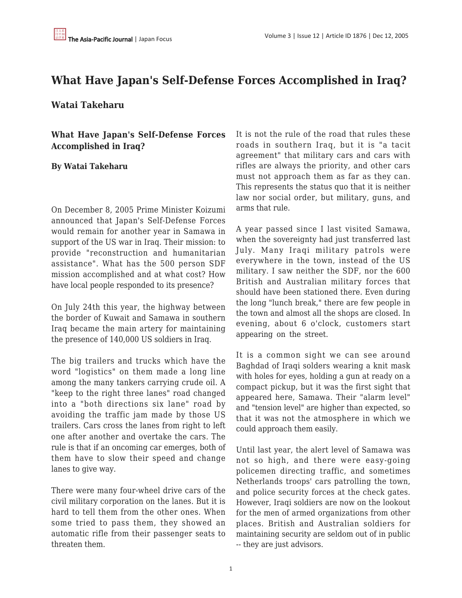## **What Have Japan's Self-Defense Forces Accomplished in Iraq?**

## **Watai Takeharu**

**What Have Japan's Self-Defense Forces Accomplished in Iraq?**

## **By Watai Takeharu**

On December 8, 2005 Prime Minister Koizumi announced that Japan's Self-Defense Forces would remain for another year in Samawa in support of the US war in Iraq. Their mission: to provide "reconstruction and humanitarian assistance". What has the 500 person SDF mission accomplished and at what cost? How have local people responded to its presence?

On July 24th this year, the highway between the border of Kuwait and Samawa in southern Iraq became the main artery for maintaining the presence of 140,000 US soldiers in Iraq.

The big trailers and trucks which have the word "logistics" on them made a long line among the many tankers carrying crude oil. A "keep to the right three lanes" road changed into a "both directions six lane" road by avoiding the traffic jam made by those US trailers. Cars cross the lanes from right to left one after another and overtake the cars. The rule is that if an oncoming car emerges, both of them have to slow their speed and change lanes to give way.

There were many four-wheel drive cars of the civil military corporation on the lanes. But it is hard to tell them from the other ones. When some tried to pass them, they showed an automatic rifle from their passenger seats to threaten them.

It is not the rule of the road that rules these roads in southern Iraq, but it is "a tacit agreement" that military cars and cars with rifles are always the priority, and other cars must not approach them as far as they can. This represents the status quo that it is neither law nor social order, but military, guns, and arms that rule.

A year passed since I last visited Samawa, when the sovereignty had just transferred last July. Many Iraqi military patrols were everywhere in the town, instead of the US military. I saw neither the SDF, nor the 600 British and Australian military forces that should have been stationed there. Even during the long "lunch break," there are few people in the town and almost all the shops are closed. In evening, about 6 o'clock, customers start appearing on the street.

It is a common sight we can see around Baghdad of Iraqi solders wearing a knit mask with holes for eyes, holding a gun at ready on a compact pickup, but it was the first sight that appeared here, Samawa. Their "alarm level" and "tension level" are higher than expected, so that it was not the atmosphere in which we could approach them easily.

Until last year, the alert level of Samawa was not so high, and there were easy-going policemen directing traffic, and sometimes Netherlands troops' cars patrolling the town, and police security forces at the check gates. However, Iraqi soldiers are now on the lookout for the men of armed organizations from other places. British and Australian soldiers for maintaining security are seldom out of in public -- they are just advisors.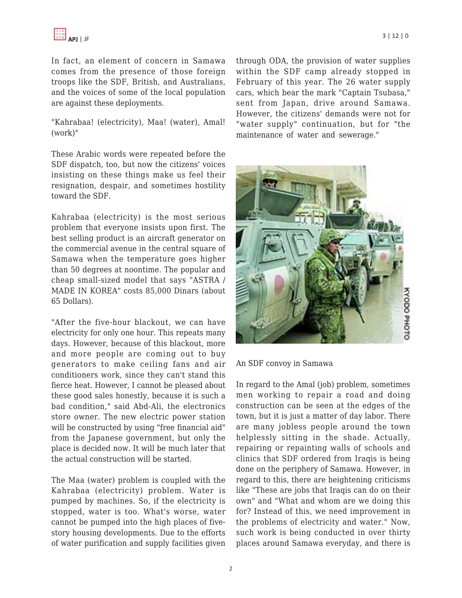In fact, an element of concern in Samawa comes from the presence of those foreign troops like the SDF, British, and Australians, and the voices of some of the local population are against these deployments.

"Kahrabaa! (electricity), Maa! (water), Amal! (work)"

These Arabic words were repeated before the SDF dispatch, too, but now the citizens' voices insisting on these things make us feel their resignation, despair, and sometimes hostility toward the SDF.

Kahrabaa (electricity) is the most serious problem that everyone insists upon first. The best selling product is an aircraft generator on the commercial avenue in the central square of Samawa when the temperature goes higher than 50 degrees at noontime. The popular and cheap small-sized model that says "ASTRA / MADE IN KOREA" costs 85,000 Dinars (about 65 Dollars).

"After the five-hour blackout, we can have electricity for only one hour. This repeats many days. However, because of this blackout, more and more people are coming out to buy generators to make ceiling fans and air conditioners work, since they can't stand this fierce heat. However, I cannot be pleased about these good sales honestly, because it is such a bad condition," said Abd-Ali, the electronics store owner. The new electric power station will be constructed by using "free financial aid" from the Japanese government, but only the place is decided now. It will be much later that the actual construction will be started.

The Maa (water) problem is coupled with the Kahrabaa (electricity) problem. Water is pumped by machines. So, if the electricity is stopped, water is too. What's worse, water cannot be pumped into the high places of fivestory housing developments. Due to the efforts of water purification and supply facilities given through ODA, the provision of water supplies within the SDF camp already stopped in February of this year. The 26 water supply cars, which bear the mark "Captain Tsubasa," sent from Japan, drive around Samawa. However, the citizens' demands were not for "water supply" continuation, but for "the maintenance of water and sewerage."



An SDF convoy in Samawa

In regard to the Amal (job) problem, sometimes men working to repair a road and doing construction can be seen at the edges of the town, but it is just a matter of day labor. There are many jobless people around the town helplessly sitting in the shade. Actually, repairing or repainting walls of schools and clinics that SDF ordered from Iraqis is being done on the periphery of Samawa. However, in regard to this, there are heightening criticisms like "These are jobs that Iraqis can do on their own" and "What and whom are we doing this for? Instead of this, we need improvement in the problems of electricity and water." Now, such work is being conducted in over thirty places around Samawa everyday, and there is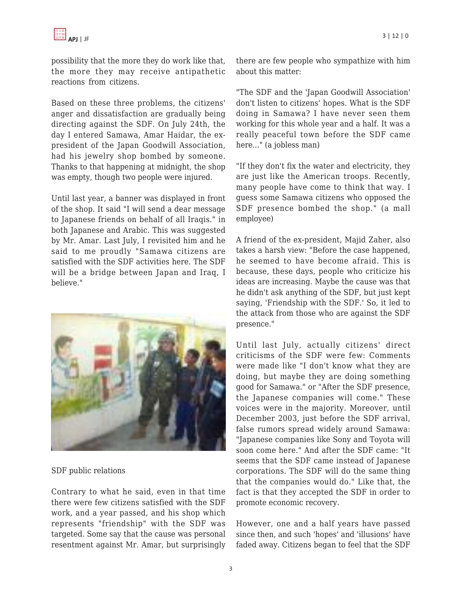possibility that the more they do work like that, the more they may receive antipathetic reactions from citizens.

Based on these three problems, the citizens' anger and dissatisfaction are gradually being directing against the SDF. On July 24th, the day I entered Samawa, Amar Haidar, the expresident of the Japan Goodwill Association, had his jewelry shop bombed by someone. Thanks to that happening at midnight, the shop was empty, though two people were injured.

Until last year, a banner was displayed in front of the shop. It said "I will send a dear message to Japanese friends on behalf of all Iraqis." in both Japanese and Arabic. This was suggested by Mr. Amar. Last July, I revisited him and he said to me proudly "Samawa citizens are satisfied with the SDF activities here. The SDF will be a bridge between Japan and Iraq, I believe."



SDF public relations

Contrary to what he said, even in that time there were few citizens satisfied with the SDF work, and a year passed, and his shop which represents "friendship" with the SDF was targeted. Some say that the cause was personal resentment against Mr. Amar, but surprisingly there are few people who sympathize with him about this matter:

"The SDF and the 'Japan Goodwill Association' don't listen to citizens' hopes. What is the SDF doing in Samawa? I have never seen them working for this whole year and a half. It was a really peaceful town before the SDF came here..." (a jobless man)

"If they don't fix the water and electricity, they are just like the American troops. Recently, many people have come to think that way. I guess some Samawa citizens who opposed the SDF presence bombed the shop." (a mall employee)

A friend of the ex-president, Majid Zaher, also takes a harsh view: "Before the case happened, he seemed to have become afraid. This is because, these days, people who criticize his ideas are increasing. Maybe the cause was that he didn't ask anything of the SDF, but just kept saying, 'Friendship with the SDF.' So, it led to the attack from those who are against the SDF presence."

Until last July, actually citizens' direct criticisms of the SDF were few: Comments were made like "I don't know what they are doing, but maybe they are doing something good for Samawa." or "After the SDF presence, the Japanese companies will come." These voices were in the majority. Moreover, until December 2003, just before the SDF arrival, false rumors spread widely around Samawa: "Japanese companies like Sony and Toyota will soon come here." And after the SDF came: "It seems that the SDF came instead of Japanese corporations. The SDF will do the same thing that the companies would do." Like that, the fact is that they accepted the SDF in order to promote economic recovery.

However, one and a half years have passed since then, and such 'hopes' and 'illusions' have faded away. Citizens began to feel that the SDF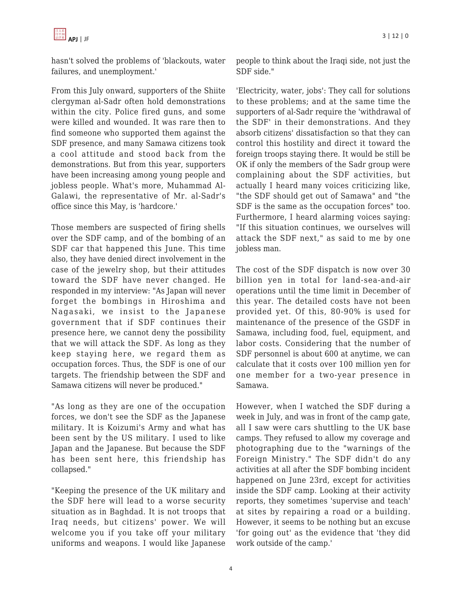hasn't solved the problems of 'blackouts, water failures, and unemployment.'

From this July onward, supporters of the Shiite clergyman al-Sadr often hold demonstrations within the city. Police fired guns, and some were killed and wounded. It was rare then to find someone who supported them against the SDF presence, and many Samawa citizens took a cool attitude and stood back from the demonstrations. But from this year, supporters have been increasing among young people and jobless people. What's more, Muhammad Al-Galawi, the representative of Mr. al-Sadr's office since this May, is 'hardcore.'

Those members are suspected of firing shells over the SDF camp, and of the bombing of an SDF car that happened this June. This time also, they have denied direct involvement in the case of the jewelry shop, but their attitudes toward the SDF have never changed. He responded in my interview: "As Japan will never forget the bombings in Hiroshima and Nagasaki, we insist to the Japanese government that if SDF continues their presence here, we cannot deny the possibility that we will attack the SDF. As long as they keep staying here, we regard them as occupation forces. Thus, the SDF is one of our targets. The friendship between the SDF and Samawa citizens will never be produced."

"As long as they are one of the occupation forces, we don't see the SDF as the Japanese military. It is Koizumi's Army and what has been sent by the US military. I used to like Japan and the Japanese. But because the SDF has been sent here, this friendship has collapsed."

"Keeping the presence of the UK military and the SDF here will lead to a worse security situation as in Baghdad. It is not troops that Iraq needs, but citizens' power. We will welcome you if you take off your military uniforms and weapons. I would like Japanese people to think about the Iraqi side, not just the SDF side."

'Electricity, water, jobs': They call for solutions to these problems; and at the same time the supporters of al-Sadr require the 'withdrawal of the SDF' in their demonstrations. And they absorb citizens' dissatisfaction so that they can control this hostility and direct it toward the foreign troops staying there. It would be still be OK if only the members of the Sadr group were complaining about the SDF activities, but actually I heard many voices criticizing like, "the SDF should get out of Samawa" and "the SDF is the same as the occupation forces" too. Furthermore, I heard alarming voices saying: "If this situation continues, we ourselves will attack the SDF next," as said to me by one jobless man.

The cost of the SDF dispatch is now over 30 billion yen in total for land-sea-and-air operations until the time limit in December of this year. The detailed costs have not been provided yet. Of this, 80-90% is used for maintenance of the presence of the GSDF in Samawa, including food, fuel, equipment, and labor costs. Considering that the number of SDF personnel is about 600 at anytime, we can calculate that it costs over 100 million yen for one member for a two-year presence in Samawa.

However, when I watched the SDF during a week in July, and was in front of the camp gate, all I saw were cars shuttling to the UK base camps. They refused to allow my coverage and photographing due to the "warnings of the Foreign Ministry." The SDF didn't do any activities at all after the SDF bombing incident happened on June 23rd, except for activities inside the SDF camp. Looking at their activity reports, they sometimes 'supervise and teach' at sites by repairing a road or a building. However, it seems to be nothing but an excuse 'for going out' as the evidence that 'they did work outside of the camp.'